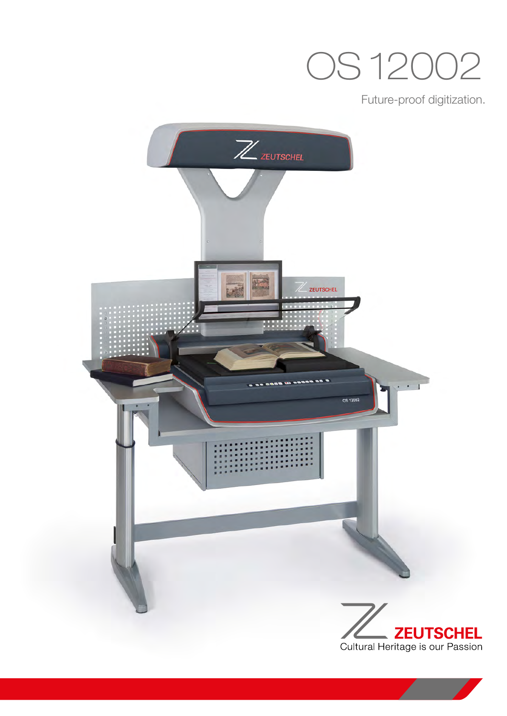## OS 12002

Future-proof digitization.

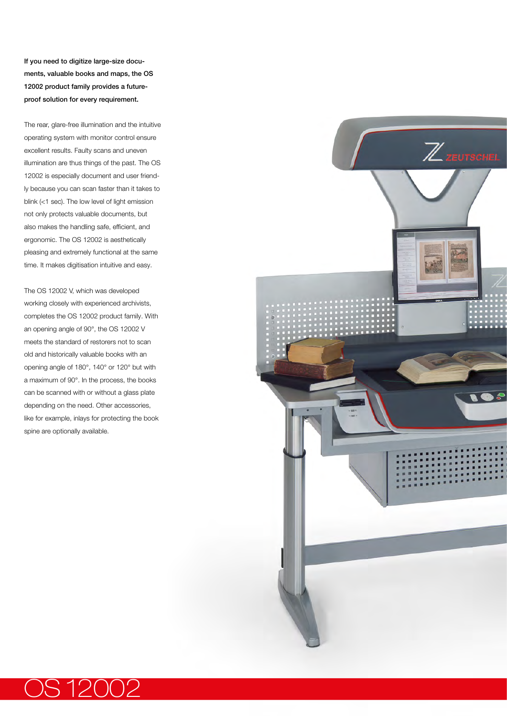If you need to digitize large-size documents, valuable books and maps, the OS 12002 product family provides a futureproof solution for every requirement.

The rear, glare-free illumination and the intuitive operating system with monitor control ensure excellent results. Faulty scans and uneven illumination are thus things of the past. The OS 12002 is especially document and user friendly because you can scan faster than it takes to blink (<1 sec). The low level of light emission not only protects valuable documents, but also makes the handling safe, efficient, and ergonomic. The OS 12002 is aesthetically pleasing and extremely functional at the same time. It makes digitisation intuitive and easy.

The OS 12002 V, which was developed working closely with experienced archivists, completes the OS 12002 product family. With an opening angle of 90°, the OS 12002 V meets the standard of restorers not to scan old and historically valuable books with an opening angle of 180°, 140° or 120° but with a maximum of 90°. In the process, the books can be scanned with or without a glass plate depending on the need. Other accessories, like for example, inlays for protecting the book spine are optionally available.



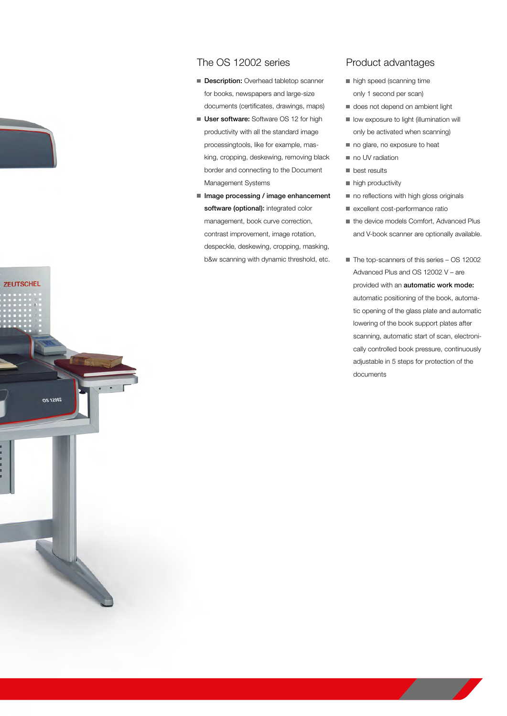## The OS 12002 series

- Description: Overhead tabletop scanner for books, newspapers and large-size documents (certificates, drawings, maps)
- User software: Software OS 12 for high productivity with all the standard image processingtools, like for example, masking, cropping, deskewing, removing black border and connecting to the Document Management Systems
- Image processing / image enhancement software (optional): integrated color management, book curve correction, contrast improvement, image rotation, despeckle, deskewing, cropping, masking, b&w scanning with dynamic threshold, etc.

**ZEUTSCHEL** 

**OS 12002** 

## Product advantages

- high speed (scanning time only 1 second per scan)
- does not depend on ambient light
- low exposure to light (illumination will only be activated when scanning)
- no glare, no exposure to heat
- no UV radiation
- **best results**
- high productivity
- no reflections with high gloss originals
- excellent cost-performance ratio
- the device models Comfort, Advanced Plus and V-book scanner are optionally available.
- The top-scanners of this series OS 12002 Advanced Plus and OS 12002 V – are provided with an automatic work mode: automatic positioning of the book, automatic opening of the glass plate and automatic lowering of the book support plates after scanning, automatic start of scan, electronically controlled book pressure, continuously adjustable in 5 steps for protection of the documents